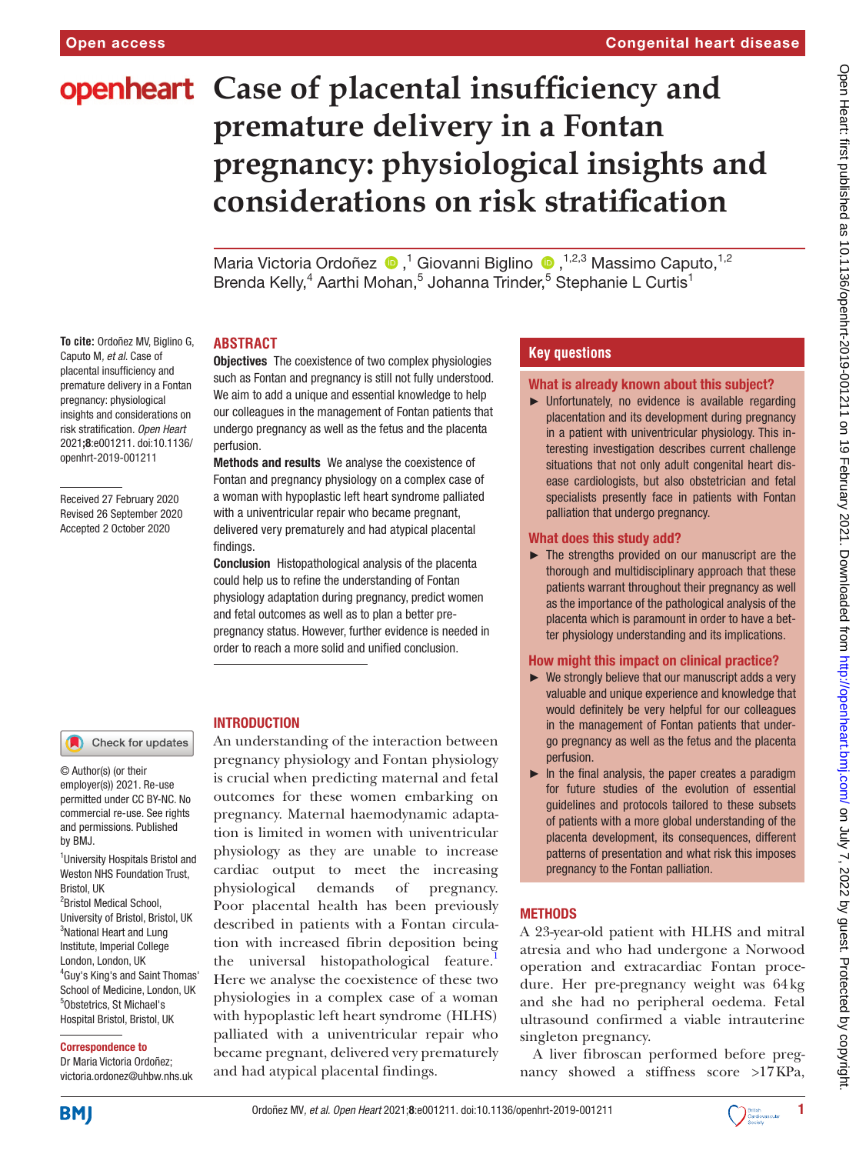**To cite:** Ordoñez MV, Biglino G, Caputo M*, et al*. Case of placental insufficiency and premature delivery in a Fontan pregnancy: physiological insights and considerations on risk stratification*. Open Heart* 2021;8:e001211. doi:10.1136/ openhrt-2019-001211

Received 27 February 2020 Revised 26 September 2020 Accepted 2 October 2020

# **openheart** Case of placental insufficiency and **premature delivery in a Fontan pregnancy: physiological insights and considerations on risk stratification**

MariaVictoria Ordoñez <sup>®</sup>,<sup>1</sup> Giovanni Biglino <sup>®</sup>,<sup>1,2,3</sup> Massimo Caputo,<sup>1,2</sup> Brenda Kelly,<sup>4</sup> Aarthi Mohan,<sup>5</sup> Johanna Trinder,<sup>5</sup> Stephanie L Curtis<sup>1</sup>

# **ABSTRACT**

**Objectives** The coexistence of two complex physiologies such as Fontan and pregnancy is still not fully understood. We aim to add a unique and essential knowledge to help our colleagues in the management of Fontan patients that undergo pregnancy as well as the fetus and the placenta perfusion.

Methods and results We analyse the coexistence of Fontan and pregnancy physiology on a complex case of a woman with hypoplastic left heart syndrome palliated with a univentricular repair who became pregnant, delivered very prematurely and had atypical placental findings.

Conclusion Histopathological analysis of the placenta could help us to refine the understanding of Fontan physiology adaptation during pregnancy, predict women and fetal outcomes as well as to plan a better prepregnancy status. However, further evidence is needed in order to reach a more solid and unified conclusion.

## Check for updates

© Author(s) (or their employer(s)) 2021. Re-use permitted under CC BY-NC. No commercial re-use. See rights and permissions. Published by BMJ.

<sup>1</sup>University Hospitals Bristol and Weston NHS Foundation Trust, Bristol, UK <sup>2</sup> Bristol Medical School, University of Bristol, Bristol, UK <sup>3</sup>National Heart and Lung Institute, Imperial College London, London, UK 4 Guy's King's and Saint Thomas' School of Medicine, London, UK 5 Obstetrics, St Michael's Hospital Bristol, Bristol, UK

#### Correspondence to

Dr Maria Victoria Ordoñez; victoria.ordonez@uhbw.nhs.uk

## INTRODUCTION

An understanding of the interaction between pregnancy physiology and Fontan physiology is crucial when predicting maternal and fetal outcomes for these women embarking on pregnancy. Maternal haemodynamic adaptation is limited in women with univentricular physiology as they are unable to increase cardiac output to meet the increasing physiological demands of pregnancy. Poor placental health has been previously described in patients with a Fontan circulation with increased fibrin deposition being the universal histopathological feature.<sup>1</sup> Here we analyse the coexistence of these two physiologies in a complex case of a woman with hypoplastic left heart syndrome (HLHS) palliated with a univentricular repair who became pregnant, delivered very prematurely and had atypical placental findings.

## **Key questions**

#### What is already known about this subject?

► Unfortunately, no evidence is available regarding placentation and its development during pregnancy in a patient with univentricular physiology. This interesting investigation describes current challenge situations that not only adult congenital heart disease cardiologists, but also obstetrician and fetal specialists presently face in patients with Fontan palliation that undergo pregnancy.

#### What does this study add?

► The strengths provided on our manuscript are the thorough and multidisciplinary approach that these patients warrant throughout their pregnancy as well as the importance of the pathological analysis of the placenta which is paramount in order to have a better physiology understanding and its implications.

### How might this impact on clinical practice?

- ► We strongly believe that our manuscript adds a very valuable and unique experience and knowledge that would definitely be very helpful for our colleagues in the management of Fontan patients that undergo pregnancy as well as the fetus and the placenta perfusion.
- $\blacktriangleright$  In the final analysis, the paper creates a paradigm for future studies of the evolution of essential guidelines and protocols tailored to these subsets of patients with a more global understanding of the placenta development, its consequences, different patterns of presentation and what risk this imposes pregnancy to the Fontan palliation.

## **METHODS**

A 23-year-old patient with HLHS and mitral atresia and who had undergone a Norwood operation and extracardiac Fontan procedure. Her pre-pregnancy weight was 64kg and she had no peripheral oedema. Fetal ultrasound confirmed a viable intrauterine singleton pregnancy.

A liver fibroscan performed before pregnancy showed a stiffness score >17KPa,



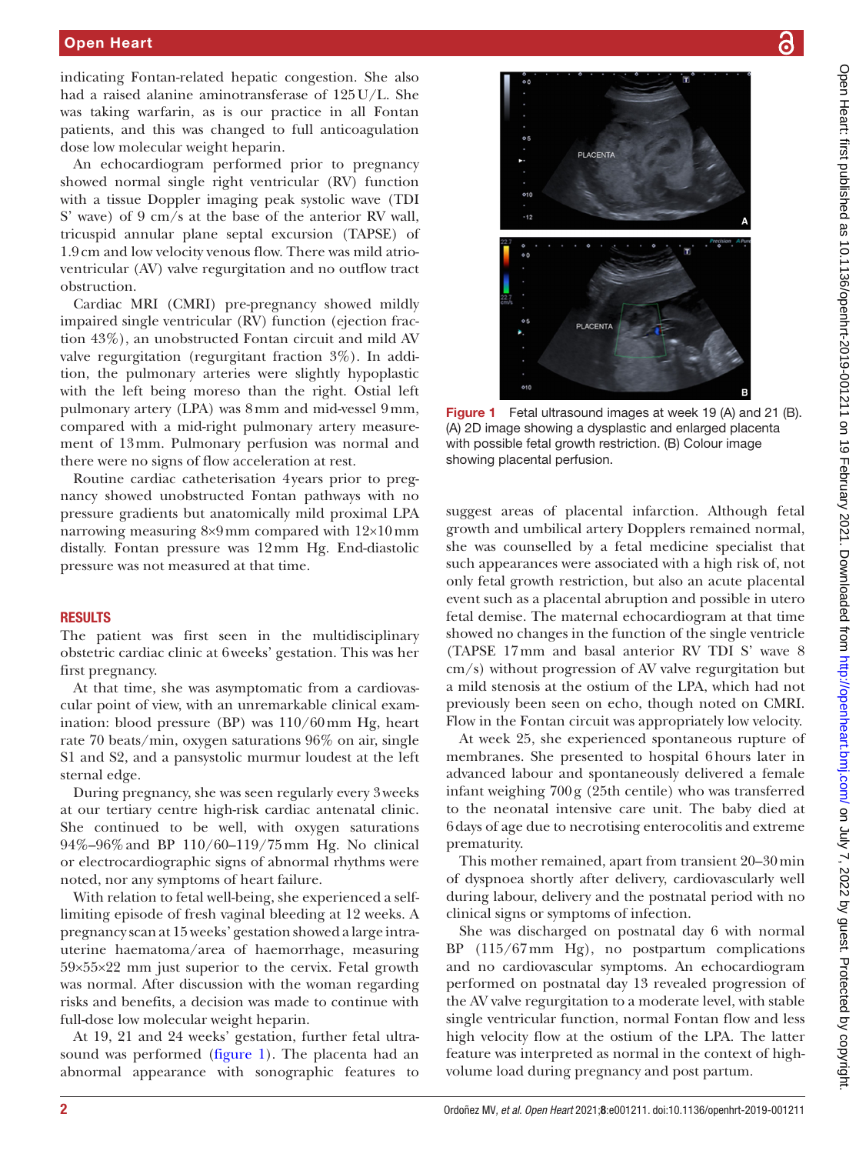## Open Heart

indicating Fontan-related hepatic congestion. She also had a raised alanine aminotransferase of 125U/L. She was taking warfarin, as is our practice in all Fontan patients, and this was changed to full anticoagulation dose low molecular weight heparin.

An echocardiogram performed prior to pregnancy showed normal single right ventricular (RV) function with a tissue Doppler imaging peak systolic wave (TDI S' wave) of 9 cm/s at the base of the anterior RV wall, tricuspid annular plane septal excursion (TAPSE) of 1.9cm and low velocity venous flow. There was mild atrioventricular (AV) valve regurgitation and no outflow tract obstruction.

Cardiac MRI (CMRI) pre-pregnancy showed mildly impaired single ventricular (RV) function (ejection fraction 43%), an unobstructed Fontan circuit and mild AV valve regurgitation (regurgitant fraction 3%). In addition, the pulmonary arteries were slightly hypoplastic with the left being moreso than the right. Ostial left pulmonary artery (LPA) was 8mm and mid-vessel 9mm, compared with a mid-right pulmonary artery measurement of 13mm. Pulmonary perfusion was normal and there were no signs of flow acceleration at rest.

Routine cardiac catheterisation 4years prior to pregnancy showed unobstructed Fontan pathways with no pressure gradients but anatomically mild proximal LPA narrowing measuring 8×9mm compared with 12×10mm distally. Fontan pressure was 12mm Hg. End-diastolic pressure was not measured at that time.

#### RESULTS

The patient was first seen in the multidisciplinary obstetric cardiac clinic at 6weeks' gestation. This was her first pregnancy.

At that time, she was asymptomatic from a cardiovascular point of view, with an unremarkable clinical examination: blood pressure (BP) was 110/60mm Hg, heart rate 70 beats/min, oxygen saturations 96% on air, single S1 and S2, and a pansystolic murmur loudest at the left sternal edge.

During pregnancy, she was seen regularly every 3weeks at our tertiary centre high-risk cardiac antenatal clinic. She continued to be well, with oxygen saturations 94%–96%and BP 110/60–119/75mm Hg. No clinical or electrocardiographic signs of abnormal rhythms were noted, nor any symptoms of heart failure.

With relation to fetal well-being, she experienced a selflimiting episode of fresh vaginal bleeding at 12 weeks. A pregnancy scan at 15 weeks' gestation showed a large intrauterine haematoma/area of haemorrhage, measuring 59×55×22 mm just superior to the cervix. Fetal growth was normal. After discussion with the woman regarding risks and benefits, a decision was made to continue with full-dose low molecular weight heparin.

At 19, 21 and 24 weeks' gestation, further fetal ultrasound was performed [\(figure](#page-1-0) 1). The placenta had an abnormal appearance with sonographic features to



<span id="page-1-0"></span>Figure 1 Fetal ultrasound images at week 19 (A) and 21 (B). (A) 2D image showing a dysplastic and enlarged placenta with possible fetal growth restriction. (B) Colour image showing placental perfusion.

suggest areas of placental infarction. Although fetal growth and umbilical artery Dopplers remained normal, she was counselled by a fetal medicine specialist that such appearances were associated with a high risk of, not only fetal growth restriction, but also an acute placental event such as a placental abruption and possible in utero fetal demise. The maternal echocardiogram at that time showed no changes in the function of the single ventricle (TAPSE 17mm and basal anterior RV TDI S' wave 8 cm/s) without progression of AV valve regurgitation but a mild stenosis at the ostium of the LPA, which had not previously been seen on echo, though noted on CMRI. Flow in the Fontan circuit was appropriately low velocity.

At week 25, she experienced spontaneous rupture of membranes. She presented to hospital 6hours later in advanced labour and spontaneously delivered a female infant weighing 700g (25th centile) who was transferred to the neonatal intensive care unit. The baby died at 6days of age due to necrotising enterocolitis and extreme prematurity.

This mother remained, apart from transient 20–30min of dyspnoea shortly after delivery, cardiovascularly well during labour, delivery and the postnatal period with no clinical signs or symptoms of infection.

She was discharged on postnatal day 6 with normal BP (115/67mm Hg), no postpartum complications and no cardiovascular symptoms. An echocardiogram performed on postnatal day 13 revealed progression of the AV valve regurgitation to a moderate level, with stable single ventricular function, normal Fontan flow and less high velocity flow at the ostium of the LPA. The latter feature was interpreted as normal in the context of highvolume load during pregnancy and post partum.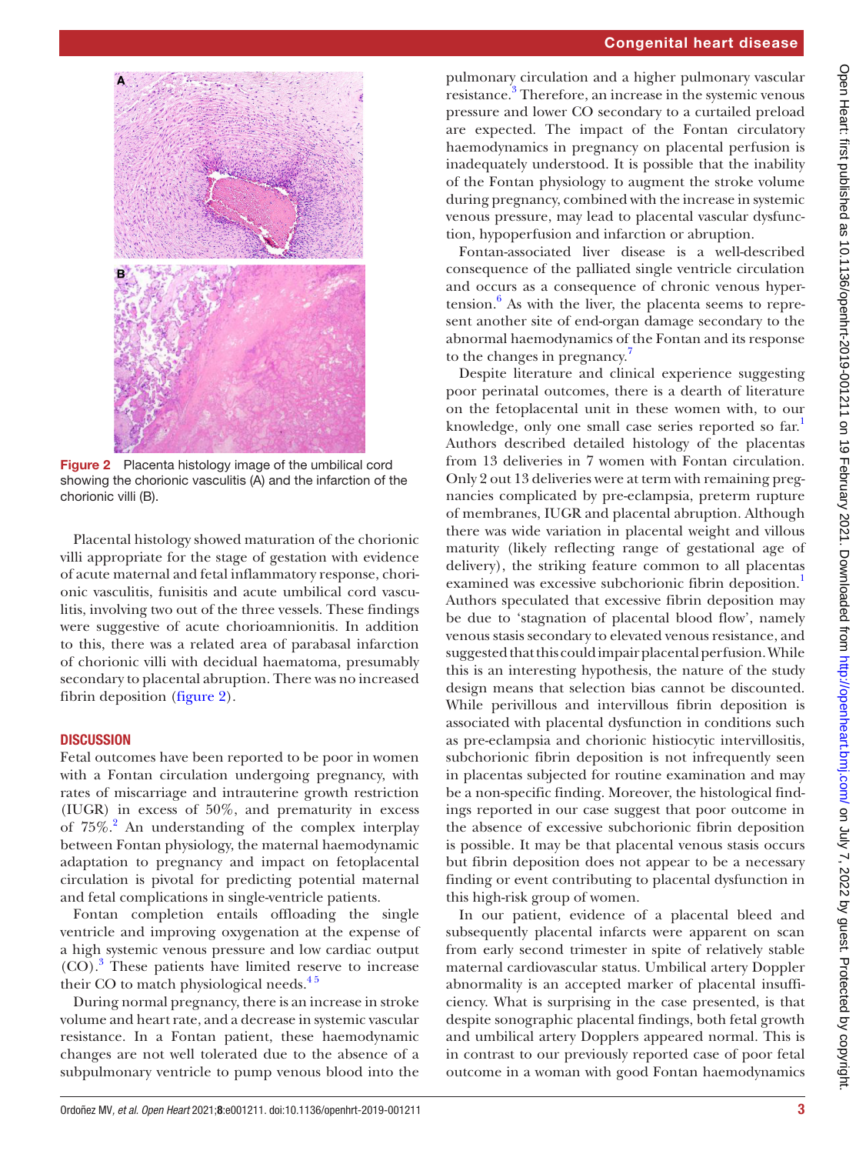

**Figure 2** Placenta histology image of the umbilical cord showing the chorionic vasculitis (A) and the infarction of the chorionic villi (B).

<span id="page-2-0"></span>Placental histology showed maturation of the chorionic villi appropriate for the stage of gestation with evidence of acute maternal and fetal inflammatory response, chorionic vasculitis, funisitis and acute umbilical cord vasculitis, involving two out of the three vessels. These findings were suggestive of acute chorioamnionitis. In addition to this, there was a related area of parabasal infarction of chorionic villi with decidual haematoma, presumably secondary to placental abruption. There was no increased fibrin deposition ([figure](#page-2-0) 2).

## **DISCUSSION**

Fetal outcomes have been reported to be poor in women with a Fontan circulation undergoing pregnancy, with rates of miscarriage and intrauterine growth restriction (IUGR) in excess of 50%, and prematurity in excess of 75%.<sup>[2](#page-3-1)</sup> An understanding of the complex interplay between Fontan physiology, the maternal haemodynamic adaptation to pregnancy and impact on fetoplacental circulation is pivotal for predicting potential maternal and fetal complications in single-ventricle patients.

Fontan completion entails offloading the single ventricle and improving oxygenation at the expense of a high systemic venous pressure and low cardiac output (CO).[3](#page-3-2) These patients have limited reserve to increase their CO to match physiological needs. $4<sup>5</sup>$ 

During normal pregnancy, there is an increase in stroke volume and heart rate, and a decrease in systemic vascular resistance. In a Fontan patient, these haemodynamic changes are not well tolerated due to the absence of a subpulmonary ventricle to pump venous blood into the

pulmonary circulation and a higher pulmonary vascular resistance.<sup>3</sup> Therefore, an increase in the systemic venous pressure and lower CO secondary to a curtailed preload are expected. The impact of the Fontan circulatory haemodynamics in pregnancy on placental perfusion is inadequately understood. It is possible that the inability of the Fontan physiology to augment the stroke volume during pregnancy, combined with the increase in systemic venous pressure, may lead to placental vascular dysfunction, hypoperfusion and infarction or abruption.

Fontan-associated liver disease is a well-described consequence of the palliated single ventricle circulation and occurs as a consequence of chronic venous hyper- $tension.<sup>6</sup>$  $tension.<sup>6</sup>$  $tension.<sup>6</sup>$  As with the liver, the placenta seems to represent another site of end-organ damage secondary to the abnormal haemodynamics of the Fontan and its response to the changes in pregnancy.<sup>[7](#page-3-5)</sup>

Despite literature and clinical experience suggesting poor perinatal outcomes, there is a dearth of literature on the fetoplacental unit in these women with, to our knowledge, only one small case series reported so far.<sup>1</sup> Authors described detailed histology of the placentas from 13 deliveries in 7 women with Fontan circulation. Only 2 out 13 deliveries were at term with remaining pregnancies complicated by pre-eclampsia, preterm rupture of membranes, IUGR and placental abruption. Although there was wide variation in placental weight and villous maturity (likely reflecting range of gestational age of delivery), the striking feature common to all placentas examined was excessive subchorionic fibrin deposition.<sup>1</sup> Authors speculated that excessive fibrin deposition may be due to 'stagnation of placental blood flow', namely venous stasis secondary to elevated venous resistance, and suggested that this could impair placental perfusion. While this is an interesting hypothesis, the nature of the study design means that selection bias cannot be discounted. While perivillous and intervillous fibrin deposition is associated with placental dysfunction in conditions such as pre-eclampsia and chorionic histiocytic intervillositis, subchorionic fibrin deposition is not infrequently seen in placentas subjected for routine examination and may be a non-specific finding. Moreover, the histological findings reported in our case suggest that poor outcome in the absence of excessive subchorionic fibrin deposition is possible. It may be that placental venous stasis occurs but fibrin deposition does not appear to be a necessary finding or event contributing to placental dysfunction in this high-risk group of women.

In our patient, evidence of a placental bleed and subsequently placental infarcts were apparent on scan from early second trimester in spite of relatively stable maternal cardiovascular status. Umbilical artery Doppler abnormality is an accepted marker of placental insufficiency. What is surprising in the case presented, is that despite sonographic placental findings, both fetal growth and umbilical artery Dopplers appeared normal. This is in contrast to our previously reported case of poor fetal outcome in a woman with good Fontan haemodynamics